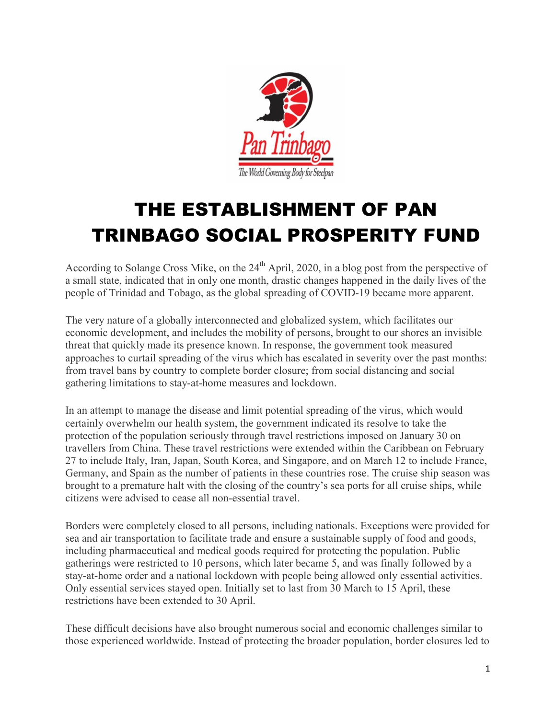

# THE ESTABLISHMENT OF PAN TRINBAGO SOCIAL PROSPERITY FUND

According to Solange Cross Mike, on the  $24<sup>th</sup>$  April, 2020, in a blog post from the perspective of a small state, indicated that in only one month, drastic changes happened in the daily lives of the people of Trinidad and Tobago, as the global spreading of COVID-19 became more apparent.

The very nature of a globally interconnected and globalized system, which facilitates our economic development, and includes the mobility of persons, brought to our shores an invisible threat that quickly made its presence known. In response, the government took measured approaches to curtail spreading of the virus which has escalated in severity over the past months: from travel bans by country to complete border closure; from social distancing and social gathering limitations to stay-at-home measures and lockdown.

In an attempt to manage the disease and limit potential spreading of the virus, which would certainly overwhelm our health system, the government indicated its resolve to take the protection of the population seriously through travel restrictions imposed on January 30 on travellers from China. These travel restrictions were extended within the Caribbean on February 27 to include Italy, Iran, Japan, South Korea, and Singapore, and on March 12 to include France, Germany, and Spain as the number of patients in these countries rose. The cruise ship season was brought to a premature halt with the closing of the country's sea ports for all cruise ships, while citizens were advised to cease all non-essential travel.

Borders were completely closed to all persons, including nationals. Exceptions were provided for sea and air transportation to facilitate trade and ensure a sustainable supply of food and goods, including pharmaceutical and medical goods required for protecting the population. Public gatherings were restricted to 10 persons, which later became 5, and was finally followed by a stay-at-home order and a national lockdown with people being allowed only essential activities. Only essential services stayed open. Initially set to last from 30 March to 15 April, these restrictions have been extended to 30 April.

These difficult decisions have also brought numerous social and economic challenges similar to those experienced worldwide. Instead of protecting the broader population, border closures led to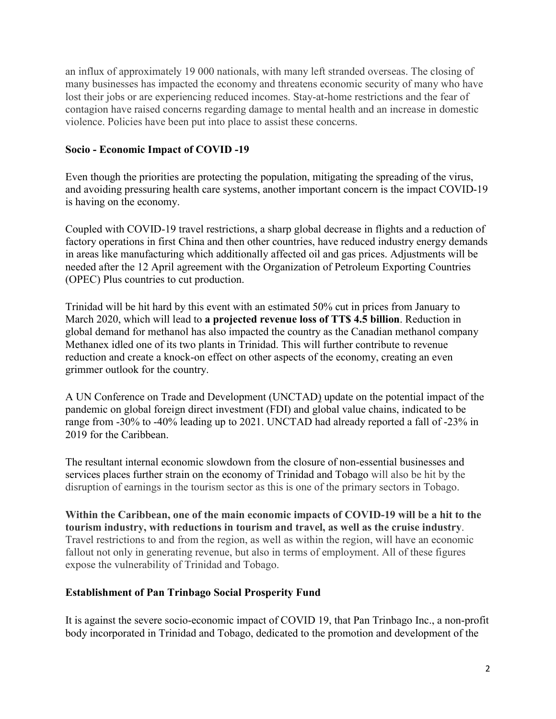an influx of approximately 19 000 nationals, with many left stranded overseas. The closing of many businesses has impacted the economy and threatens economic security of many who have lost their jobs or are experiencing reduced incomes. Stay-at-home restrictions and the fear of contagion have raised concerns regarding damage to mental health and an increase in domestic violence. Policies have been put into place to assist these concerns.

### Socio - Economic Impact of COVID -19

Even though the priorities are protecting the population, mitigating the spreading of the virus, and avoiding pressuring health care systems, another important concern is the impact COVID-19 is having on the economy.

Coupled with COVID-19 travel restrictions, a sharp global decrease in flights and a reduction of factory operations in first China and then other countries, have reduced industry energy demands in areas like manufacturing which additionally affected oil and gas prices. Adjustments will be needed after the 12 April agreement with the Organization of Petroleum Exporting Countries (OPEC) Plus countries to cut production.

Trinidad will be hit hard by this event with an estimated 50% cut in prices from January to March 2020, which will lead to a projected revenue loss of TT\$ 4.5 billion. Reduction in global demand for methanol has also impacted the country as the Canadian methanol company Methanex idled one of its two plants in Trinidad. This will further contribute to revenue reduction and create a knock-on effect on other aspects of the economy, creating an even grimmer outlook for the country.

A UN Conference on Trade and Development (UNCTAD) update on the potential impact of the pandemic on global foreign direct investment (FDI) and global value chains, indicated to be range from -30% to -40% leading up to 2021. UNCTAD had already reported a fall of -23% in 2019 for the Caribbean.

The resultant internal economic slowdown from the closure of non-essential businesses and services places further strain on the economy of Trinidad and Tobago will also be hit by the disruption of earnings in the tourism sector as this is one of the primary sectors in Tobago.

Within the Caribbean, one of the main economic impacts of COVID-19 will be a hit to the tourism industry, with reductions in tourism and travel, as well as the cruise industry. Travel restrictions to and from the region, as well as within the region, will have an economic fallout not only in generating revenue, but also in terms of employment. All of these figures expose the vulnerability of Trinidad and Tobago.

#### Establishment of Pan Trinbago Social Prosperity Fund

It is against the severe socio-economic impact of COVID 19, that Pan Trinbago Inc., a non-profit body incorporated in Trinidad and Tobago, dedicated to the promotion and development of the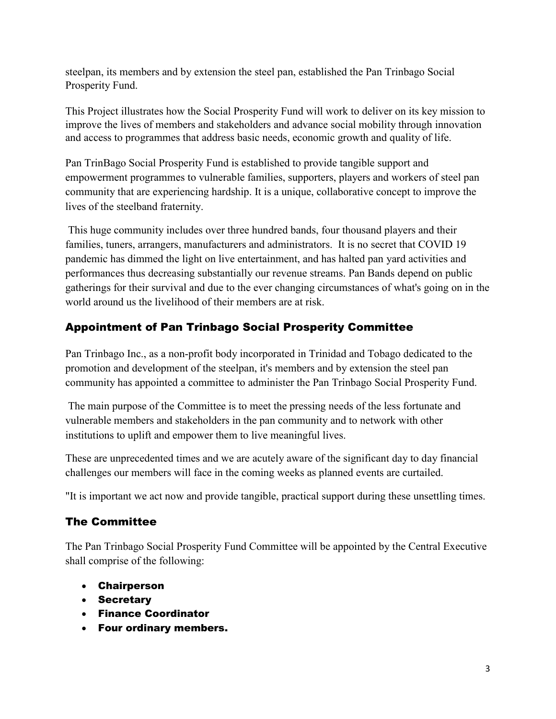steelpan, its members and by extension the steel pan, established the Pan Trinbago Social Prosperity Fund.

This Project illustrates how the Social Prosperity Fund will work to deliver on its key mission to improve the lives of members and stakeholders and advance social mobility through innovation and access to programmes that address basic needs, economic growth and quality of life.

Pan TrinBago Social Prosperity Fund is established to provide tangible support and empowerment programmes to vulnerable families, supporters, players and workers of steel pan community that are experiencing hardship. It is a unique, collaborative concept to improve the lives of the steelband fraternity.

This huge community includes over three hundred bands, four thousand players and their families, tuners, arrangers, manufacturers and administrators. It is no secret that COVID 19 pandemic has dimmed the light on live entertainment, and has halted pan yard activities and performances thus decreasing substantially our revenue streams. Pan Bands depend on public gatherings for their survival and due to the ever changing circumstances of what's going on in the world around us the livelihood of their members are at risk.

## Appointment of Pan Trinbago Social Prosperity Committee

Pan Trinbago Inc., as a non-profit body incorporated in Trinidad and Tobago dedicated to the promotion and development of the steelpan, it's members and by extension the steel pan community has appointed a committee to administer the Pan Trinbago Social Prosperity Fund.

The main purpose of the Committee is to meet the pressing needs of the less fortunate and vulnerable members and stakeholders in the pan community and to network with other institutions to uplift and empower them to live meaningful lives.

These are unprecedented times and we are acutely aware of the significant day to day financial challenges our members will face in the coming weeks as planned events are curtailed.

"It is important we act now and provide tangible, practical support during these unsettling times.

## The Committee

The Pan Trinbago Social Prosperity Fund Committee will be appointed by the Central Executive shall comprise of the following:

- Chairperson
- Secretary
- Finance Coordinator
- Four ordinary members.